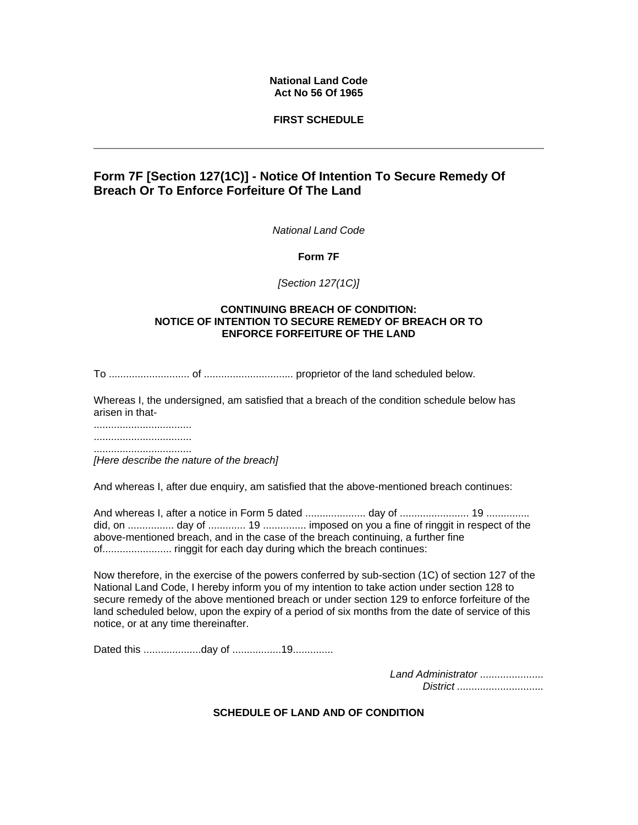## **National Land Code Act No 56 Of 1965**

## **FIRST SCHEDULE**

# **Form 7F [Section 127(1C)] - Notice Of Intention To Secure Remedy Of Breach Or To Enforce Forfeiture Of The Land**

*National Land Code*

**Form 7F**

*[Section 127(1C)]*

### **CONTINUING BREACH OF CONDITION: NOTICE OF INTENTION TO SECURE REMEDY OF BREACH OR TO ENFORCE FORFEITURE OF THE LAND**

To ............................ of ............................... proprietor of the land scheduled below.

Whereas I, the undersigned, am satisfied that a breach of the condition schedule below has arisen in that-

.................................. ..................................

..................................

*[Here describe the nature of the breach]*

And whereas I, after due enquiry, am satisfied that the above-mentioned breach continues:

And whereas I, after a notice in Form 5 dated ..................... day of ........................ 19 ............... did, on ................ day of ............. 19 ............... imposed on you a fine of ringgit in respect of the above-mentioned breach, and in the case of the breach continuing, a further fine of........................ ringgit for each day during which the breach continues:

Now therefore, in the exercise of the powers conferred by sub-section (1C) of section 127 of the National Land Code, I hereby inform you of my intention to take action under section 128 to secure remedy of the above mentioned breach or under section 129 to enforce forfeiture of the land scheduled below, upon the expiry of a period of six months from the date of service of this notice, or at any time thereinafter.

Dated this ...............................day of ................................

*Land Administrator ...................... District ..............................* 

**SCHEDULE OF LAND AND OF CONDITION**